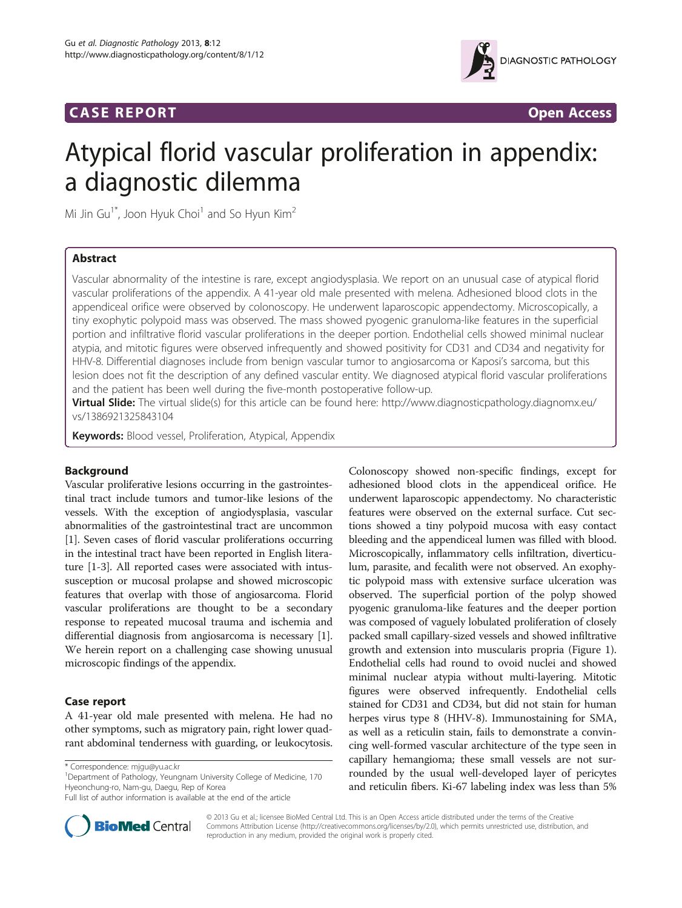## **CASE REPORT CASE REPORT**



# Atypical florid vascular proliferation in appendix: a diagnostic dilemma

Mi Jin Gu<sup>1\*</sup>, Joon Hyuk Choi<sup>1</sup> and So Hyun Kim<sup>2</sup>

## Abstract

Vascular abnormality of the intestine is rare, except angiodysplasia. We report on an unusual case of atypical florid vascular proliferations of the appendix. A 41-year old male presented with melena. Adhesioned blood clots in the appendiceal orifice were observed by colonoscopy. He underwent laparoscopic appendectomy. Microscopically, a tiny exophytic polypoid mass was observed. The mass showed pyogenic granuloma-like features in the superficial portion and infiltrative florid vascular proliferations in the deeper portion. Endothelial cells showed minimal nuclear atypia, and mitotic figures were observed infrequently and showed positivity for CD31 and CD34 and negativity for HHV-8. Differential diagnoses include from benign vascular tumor to angiosarcoma or Kaposi's sarcoma, but this lesion does not fit the description of any defined vascular entity. We diagnosed atypical florid vascular proliferations and the patient has been well during the five-month postoperative follow-up.

Virtual Slide: The virtual slide(s) for this article can be found here: [http://www.diagnosticpathology.diagnomx.eu/](http://www.diagnosticpathology.diagnomx.eu/vs/1386921325843104) [vs/1386921325843104](http://www.diagnosticpathology.diagnomx.eu/vs/1386921325843104)

Keywords: Blood vessel, Proliferation, Atypical, Appendix

## Background

Vascular proliferative lesions occurring in the gastrointestinal tract include tumors and tumor-like lesions of the vessels. With the exception of angiodysplasia, vascular abnormalities of the gastrointestinal tract are uncommon [[1\]](#page-2-0). Seven cases of florid vascular proliferations occurring in the intestinal tract have been reported in English literature [[1-3\]](#page-2-0). All reported cases were associated with intussusception or mucosal prolapse and showed microscopic features that overlap with those of angiosarcoma. Florid vascular proliferations are thought to be a secondary response to repeated mucosal trauma and ischemia and differential diagnosis from angiosarcoma is necessary [[1](#page-2-0)]. We herein report on a challenging case showing unusual microscopic findings of the appendix.

## Case report

A 41-year old male presented with melena. He had no other symptoms, such as migratory pain, right lower quadrant abdominal tenderness with guarding, or leukocytosis.

\* Correspondence: [mjgu@yu.ac.kr](mailto:mjgu@yu.ac.kr) <sup>1</sup>

<sup>1</sup>Department of Pathology, Yeungnam University College of Medicine, 170 Hyeonchung-ro, Nam-gu, Daegu, Rep of Korea

Full list of author information is available at the end of the article



Colonoscopy showed non-specific findings, except for adhesioned blood clots in the appendiceal orifice. He underwent laparoscopic appendectomy. No characteristic features were observed on the external surface. Cut sections showed a tiny polypoid mucosa with easy contact



© 2013 Gu et al.; licensee BioMed Central Ltd. This is an Open Access article distributed under the terms of the Creative Commons Attribution License [\(http://creativecommons.org/licenses/by/2.0\)](http://creativecommons.org/licenses/by/2.0), which permits unrestricted use, distribution, and reproduction in any medium, provided the original work is properly cited.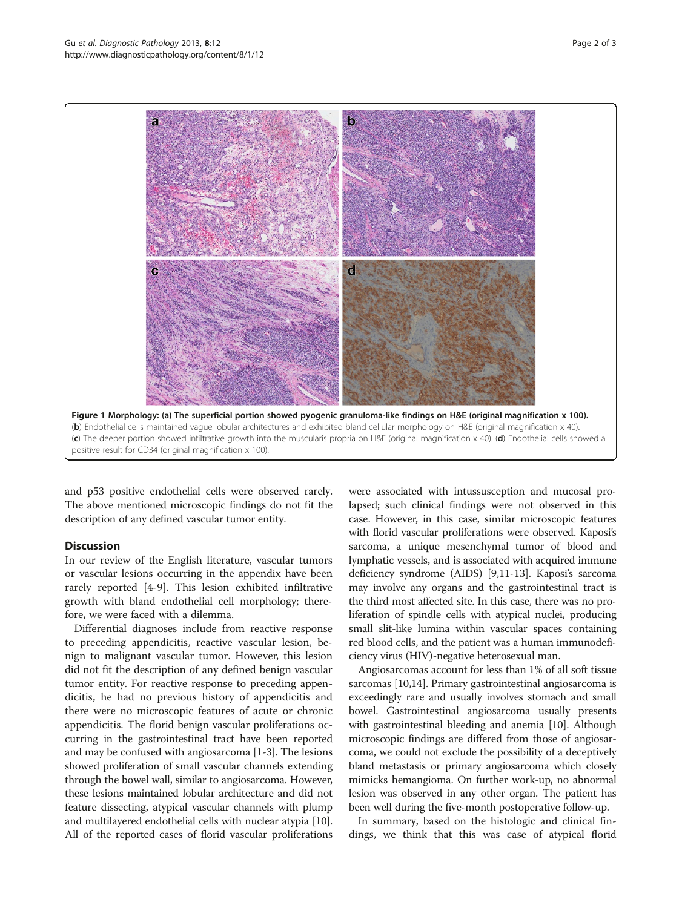匀



<span id="page-1-0"></span>

and p53 positive endothelial cells were observed rarely. The above mentioned microscopic findings do not fit the description of any defined vascular tumor entity.

## **Discussion**

In our review of the English literature, vascular tumors or vascular lesions occurring in the appendix have been rarely reported [[4-9](#page-2-0)]. This lesion exhibited infiltrative growth with bland endothelial cell morphology; therefore, we were faced with a dilemma.

Differential diagnoses include from reactive response to preceding appendicitis, reactive vascular lesion, benign to malignant vascular tumor. However, this lesion did not fit the description of any defined benign vascular tumor entity. For reactive response to preceding appendicitis, he had no previous history of appendicitis and there were no microscopic features of acute or chronic appendicitis. The florid benign vascular proliferations occurring in the gastrointestinal tract have been reported and may be confused with angiosarcoma [\[1](#page-2-0)-[3](#page-2-0)]. The lesions showed proliferation of small vascular channels extending through the bowel wall, similar to angiosarcoma. However, these lesions maintained lobular architecture and did not feature dissecting, atypical vascular channels with plump and multilayered endothelial cells with nuclear atypia [[10](#page-2-0)]. All of the reported cases of florid vascular proliferations

were associated with intussusception and mucosal prolapsed; such clinical findings were not observed in this case. However, in this case, similar microscopic features with florid vascular proliferations were observed. Kaposi's sarcoma, a unique mesenchymal tumor of blood and lymphatic vessels, and is associated with acquired immune deficiency syndrome (AIDS) [\[9,11-13\]](#page-2-0). Kaposi's sarcoma may involve any organs and the gastrointestinal tract is the third most affected site. In this case, there was no proliferation of spindle cells with atypical nuclei, producing small slit-like lumina within vascular spaces containing red blood cells, and the patient was a human immunodeficiency virus (HIV)-negative heterosexual man.

Angiosarcomas account for less than 1% of all soft tissue sarcomas [[10,14\]](#page-2-0). Primary gastrointestinal angiosarcoma is exceedingly rare and usually involves stomach and small bowel. Gastrointestinal angiosarcoma usually presents with gastrointestinal bleeding and anemia [\[10\]](#page-2-0). Although microscopic findings are differed from those of angiosarcoma, we could not exclude the possibility of a deceptively bland metastasis or primary angiosarcoma which closely mimicks hemangioma. On further work-up, no abnormal lesion was observed in any other organ. The patient has been well during the five-month postoperative follow-up.

In summary, based on the histologic and clinical findings, we think that this was case of atypical florid